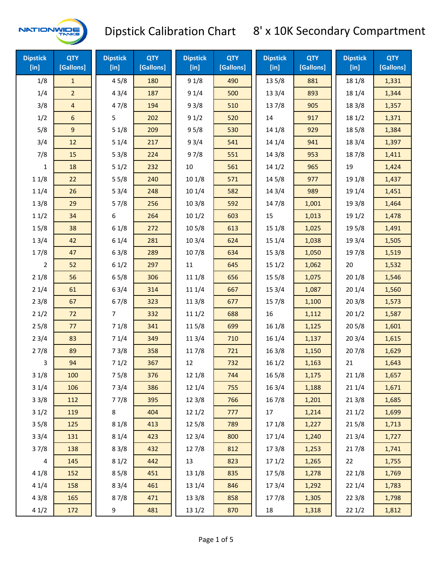

| <b>Dipstick</b><br>[in] | <b>QTY</b><br>[Gallons] | <b>Dipstick</b><br>$[$ in] | <b>QTY</b><br>[Gallons] | <b>Dipstick</b><br>[in] | <b>QTY</b><br>[Gallons] | <b>Dipstick</b><br>$[$ in] | <b>QTY</b><br>[Gallons] | <b>Dipstick</b><br>$[$ in] | <b>QTY</b><br>[Gallons] |
|-------------------------|-------------------------|----------------------------|-------------------------|-------------------------|-------------------------|----------------------------|-------------------------|----------------------------|-------------------------|
| 1/8                     | $\mathbf{1}$            | 45/8                       | 180                     | 91/8                    | 490                     | 13 5/8                     | 881                     | 18 1/8                     | 1,331                   |
| 1/4                     | $\overline{2}$          | 43/4                       | 187                     | 91/4                    | 500                     | 13 3/4                     | 893                     | 18 1/4                     | 1,344                   |
| 3/8                     | $\overline{4}$          | 47/8                       | 194                     | 93/8                    | 510                     | 137/8                      | 905                     | 18 3/8                     | 1,357                   |
| 1/2                     | 6                       | 5                          | 202                     | 91/2                    | 520                     | 14                         | 917                     | 181/2                      | 1,371                   |
| 5/8                     | $\overline{9}$          | 51/8                       | 209                     | 95/8                    | 530                     | 14 1/8                     | 929                     | 185/8                      | 1,384                   |
| 3/4                     | 12                      | 51/4                       | 217                     | 93/4                    | 541                     | 14 1/4                     | 941                     | 18 3/4                     | 1,397                   |
| 7/8                     | 15                      | 53/8                       | 224                     | 97/8                    | 551                     | 14 3/8                     | 953                     | 187/8                      | 1,411                   |
| 1                       | 18                      | 51/2                       | 232                     | $10\,$                  | 561                     | 141/2                      | 965                     | 19                         | 1,424                   |
| 11/8                    | 22                      | 55/8                       | 240                     | 101/8                   | 571                     | 14 5/8                     | 977                     | 19 1/8                     | 1,437                   |
| 11/4                    | 26                      | 53/4                       | 248                     | 101/4                   | 582                     | 14 3/4                     | 989                     | 19 1/4                     | 1,451                   |
| 13/8                    | 29                      | 57/8                       | 256                     | 103/8                   | 592                     | 147/8                      | 1,001                   | 19 3/8                     | 1,464                   |
| 11/2                    | 34                      | 6                          | 264                     | 101/2                   | 603                     | 15                         | 1,013                   | 19 1/2                     | 1,478                   |
| 15/8                    | 38                      | 61/8                       | 272                     | 10 <sub>5/8</sub>       | 613                     | 15 1/8                     | 1,025                   | 19 5/8                     | 1,491                   |
| 13/4                    | 42                      | 61/4                       | 281                     | 103/4                   | 624                     | 151/4                      | 1,038                   | 19 3/4                     | 1,505                   |
| 17/8                    | 47                      | 63/8                       | 289                     | 107/8                   | 634                     | 153/8                      | 1,050                   | 197/8                      | 1,519                   |
| 2                       | 52                      | 61/2                       | 297                     | 11                      | 645                     | 151/2                      | 1,062                   | 20                         | 1,532                   |
| 21/8                    | 56                      | 65/8                       | 306                     | 11 1/8                  | 656                     | 15 5/8                     | 1,075                   | 201/8                      | 1,546                   |
| 21/4                    | 61                      | 63/4                       | 314                     | 11 1/4                  | 667                     | 153/4                      | 1,087                   | 201/4                      | 1,560                   |
| 23/8                    | 67                      | 67/8                       | 323                     | 11 3/8                  | 677                     | 15 7/8                     | 1,100                   | 203/8                      | 1,573                   |
| 21/2                    | 72                      | 7                          | 332                     | 111/2                   | 688                     | 16                         | 1,112                   | 201/2                      | 1,587                   |
| 25/8                    | 77                      | 71/8                       | 341                     | 11 5/8                  | 699                     | 16 1/8                     | 1,125                   | 205/8                      | 1,601                   |
| 23/4                    | 83                      | 71/4                       | 349                     | 11 3/4                  | 710                     | 16 1/4                     | 1,137                   | 203/4                      | 1,615                   |
| 27/8                    | 89                      | 73/8                       | 358                     | 117/8                   | 721                     | 163/8                      | 1,150                   | 207/8                      | 1,629                   |
| 3                       | 94                      | 71/2                       | 367                     | 12                      | 732                     | 161/2                      | 1,163                   | 21                         | 1,643                   |
| 31/8                    | 100                     | 75/8                       | 376                     | 12 1/8                  | 744                     | 16 5/8                     | 1,175                   | 211/8                      | 1,657                   |
| 31/4                    | 106                     | 73/4                       | 386                     | 12 1/4                  | 755                     | 16 3/4                     | 1,188                   | 211/4                      | 1,671                   |
| 33/8                    | 112                     | 77/8                       | 395                     | 12 3/8                  | 766                     | 16 7/8                     | 1,201                   | 213/8                      | 1,685                   |
| 31/2                    | 119                     | 8                          | 404                     | 121/2                   | 777                     | 17                         | 1,214                   | 211/2                      | 1,699                   |
| 35/8                    | 125                     | 81/8                       | 413                     | 125/8                   | 789                     | 17 1/8                     | 1,227                   | 215/8                      | 1,713                   |
| 33/4                    | 131                     | 81/4                       | 423                     | 123/4                   | 800                     | 17 1/4                     | 1,240                   | 213/4                      | 1,727                   |
| 37/8                    | 138                     | 83/8                       | 432                     | 127/8                   | 812                     | 173/8                      | 1,253                   | 217/8                      | 1,741                   |
| 4                       | 145                     | 81/2                       | 442                     | 13                      | 823                     | 171/2                      | 1,265                   | 22                         | 1,755                   |
| 41/8                    | 152                     | 85/8                       | 451                     | $13 \frac{1}{8}$        | 835                     | 175/8                      | 1,278                   | 22 1/8                     | 1,769                   |
| 41/4                    | 158                     | 83/4                       | 461                     | 13 1/4                  | 846                     | 17 3/4                     | 1,292                   | 22 1/4                     | 1,783                   |
| 43/8                    | 165                     | 87/8                       | 471                     | 13 3/8                  | 858                     | 17 7/8                     | 1,305                   | 223/8                      | 1,798                   |
| 41/2                    | 172                     | 9                          | 481                     | 13 1/2                  | 870                     | 18                         | 1,318                   | 221/2                      | 1,812                   |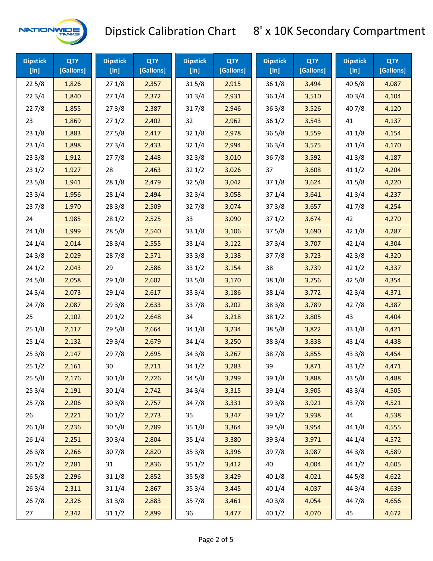

| <b>Dipstick</b><br>$[$ in] | <b>QTY</b><br>[Gallons] | <b>Dipstick</b><br>$[$ in] | <b>QTY</b><br>[Gallons] | <b>Dipstick</b><br>[in] | <b>QTY</b><br>[Gallons] | <b>Dipstick</b><br>$[$ in] | <b>QTY</b><br>[Gallons] | <b>Dipstick</b><br>$[$ in] | <b>QTY</b><br>[Gallons] |
|----------------------------|-------------------------|----------------------------|-------------------------|-------------------------|-------------------------|----------------------------|-------------------------|----------------------------|-------------------------|
| 225/8                      | 1,826                   | 271/8                      | 2,357                   | 315/8                   | 2,915                   | 36 1/8                     | 3,494                   | 40 5/8                     | 4,087                   |
| 223/4                      | 1,840                   | 271/4                      | 2,372                   | 313/4                   | 2,931                   | 36 1/4                     | 3,510                   | 403/4                      | 4,104                   |
| 227/8                      | 1,855                   | 273/8                      | 2,387                   | 317/8                   | 2,946                   | 363/8                      | 3,526                   | 407/8                      | 4,120                   |
| 23                         | 1,869                   | 271/2                      | 2,402                   | 32                      | 2,962                   | 361/2                      | 3,543                   | 41                         | 4,137                   |
| 231/8                      | 1,883                   | 275/8                      | 2,417                   | 321/8                   | 2,978                   | 365/8                      | 3,559                   | 41 1/8                     | 4,154                   |
| 231/4                      | 1,898                   | 273/4                      | 2,433                   | 32 1/4                  | 2,994                   | 363/4                      | 3,575                   | 41 1/4                     | 4,170                   |
| 233/8                      | 1,912                   | 277/8                      | 2,448                   | 323/8                   | 3,010                   | 367/8                      | 3,592                   | 413/8                      | 4,187                   |
| 231/2                      | 1,927                   | 28                         | 2,463                   | 321/2                   | 3,026                   | 37                         | 3,608                   | 411/2                      | 4,204                   |
| 235/8                      | 1,941                   | 28 1/8                     | 2,479                   | 325/8                   | 3,042                   | 371/8                      | 3,624                   | 41 5/8                     | 4,220                   |
| 233/4                      | 1,956                   | 28 1/4                     | 2,494                   | 323/4                   | 3,058                   | 371/4                      | 3,641                   | 41 3/4                     | 4,237                   |
| 237/8                      | 1,970                   | 28 3/8                     | 2,509                   | 327/8                   | 3,074                   | 373/8                      | 3,657                   | 417/8                      | 4,254                   |
| 24                         | 1,985                   | 281/2                      | 2,525                   | 33                      | 3,090                   | 371/2                      | 3,674                   | 42                         | 4,270                   |
| 24 1/8                     | 1,999                   | 285/8                      | 2,540                   | 33 1/8                  | 3,106                   | 375/8                      | 3,690                   | 42 1/8                     | 4,287                   |
| 241/4                      | 2,014                   | 283/4                      | 2,555                   | 33 1/4                  | 3,122                   | 373/4                      | 3,707                   | 42 1/4                     | 4,304                   |
| 243/8                      | 2,029                   | 287/8                      | 2,571                   | 33 3/8                  | 3,138                   | 377/8                      | 3,723                   | 42 3/8                     | 4,320                   |
| 241/2                      | 2,043                   | 29                         | 2,586                   | 331/2                   | 3,154                   | 38                         | 3,739                   | 421/2                      | 4,337                   |
| 245/8                      | 2,058                   | 29 1/8                     | 2,602                   | 33 5/8                  | 3,170                   | 38 1/8                     | 3,756                   | 42 5/8                     | 4,354                   |
| 243/4                      | 2,073                   | 29 1/4                     | 2,617                   | 33 3/4                  | 3,186                   | 38 1/4                     | 3,772                   | 42 3/4                     | 4,371                   |
| 24 7/8                     | 2,087                   | 29 3/8                     | 2,633                   | 337/8                   | 3,202                   | 38 3/8                     | 3,789                   | 42 7/8                     | 4,387                   |
| 25                         | 2,102                   | 29 1/2                     | 2,648                   | 34                      | 3,218                   | 381/2                      | 3,805                   | 43                         | 4,404                   |
| 251/8                      | 2,117                   | 295/8                      | 2,664                   | 34 1/8                  | 3,234                   | 38 5/8                     | 3,822                   | 43 1/8                     | 4,421                   |
| 251/4                      | 2,132                   | 29 3/4                     | 2,679                   | 34 1/4                  | 3,250                   | 38 3/4                     | 3,838                   | 43 1/4                     | 4,438                   |
| 253/8                      | 2,147                   | 297/8                      | 2,695                   | 34 3/8                  | 3,267                   | 387/8                      | 3,855                   | 43 3/8                     | 4,454                   |
| 251/2                      | 2,161                   | 30                         | 2,711                   | 34 1/2                  | 3,283                   | 39                         | 3,871                   | 43 1/2                     | 4,471                   |
| 255/8                      | 2,176                   | 30 1/8                     | 2,726                   | 345/8                   | 3,299                   | 39 1/8                     | 3,888                   | 43 5/8                     | 4,488                   |
| 253/4                      | 2,191                   | 30 1/4                     | 2,742                   | 34 3/4                  | 3,315                   | 39 1/4                     | 3,905                   | 43 3/4                     | 4,505                   |
| 257/8                      | 2,206                   | 303/8                      | 2,757                   | 347/8                   | 3,331                   | 39 3/8                     | 3,921                   | 437/8                      | 4,521                   |
| 26                         | 2,221                   | 301/2                      | 2,773                   | 35                      | 3,347                   | 39 1/2                     | 3,938                   | 44                         | 4,538                   |
| 261/8                      | 2,236                   | 305/8                      | 2,789                   | 35 1/8                  | 3,364                   | 39 5/8                     | 3,954                   | 44 1/8                     | 4,555                   |
| 261/4                      | 2,251                   | 303/4                      | 2,804                   | 35 1/4                  | 3,380                   | 39 3/4                     | 3,971                   | 44 1/4                     | 4,572                   |
| 263/8                      | 2,266                   | 307/8                      | 2,820                   | 35 3/8                  | 3,396                   | 397/8                      | 3,987                   | 44 3/8                     | 4,589                   |
| 261/2                      | 2,281                   | 31                         | 2,836                   | 351/2                   | 3,412                   | 40                         | 4,004                   | 44 1/2                     | 4,605                   |
| 265/8                      | 2,296                   | 31 1/8                     | 2,852                   | 355/8                   | 3,429                   | 40 1/8                     | 4,021                   | 44 5/8                     | 4,622                   |
| 263/4                      | 2,311                   | 31 1/4                     | 2,867                   | 35 3/4                  | 3,445                   | 40 1/4                     | 4,037                   | 44 3/4                     | 4,639                   |
| 267/8                      | 2,326                   | 313/8                      | 2,883                   | 357/8                   | 3,461                   | 40 3/8                     | 4,054                   | 447/8                      | 4,656                   |
| 27                         | 2,342                   | 311/2                      | 2,899                   | 36                      | 3,477                   | 40 1/2                     | 4,070                   | 45                         | 4,672                   |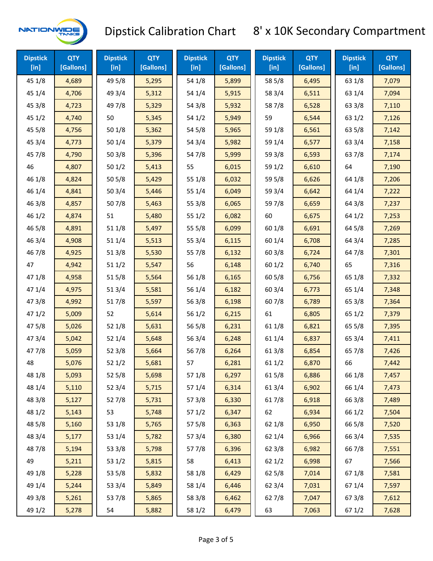

| <b>Dipstick</b><br>$[$ in] | <b>QTY</b><br>[Gallons] | <b>Dipstick</b><br>$[$ in] | <b>QTY</b><br>[Gallons] | <b>Dipstick</b><br>$[$ in] | <b>QTY</b><br>[Gallons] | <b>Dipstick</b><br>$[$ in] | <b>QTY</b><br>[Gallons] | <b>Dipstick</b><br>$[$ in] | <b>QTY</b><br>[Gallons] |
|----------------------------|-------------------------|----------------------------|-------------------------|----------------------------|-------------------------|----------------------------|-------------------------|----------------------------|-------------------------|
| 45 1/8                     | 4,689                   | 49 5/8                     | 5,295                   | 54 1/8                     | 5,899                   | 58 5/8                     | 6,495                   | 63 1/8                     | 7,079                   |
| 45 1/4                     | 4,706                   | 49 3/4                     | 5,312                   | 54 1/4                     | 5,915                   | 58 3/4                     | 6,511                   | 63 1/4                     | 7,094                   |
| 45 3/8                     | 4,723                   | 49 7/8                     | 5,329                   | 54 3/8                     | 5,932                   | 587/8                      | 6,528                   | 63 3/8                     | 7,110                   |
| 451/2                      | 4,740                   | 50                         | 5,345                   | 54 1/2                     | 5,949                   | 59                         | 6,544                   | 63 1/2                     | 7,126                   |
| 45 5/8                     | 4,756                   | 50 1/8                     | 5,362                   | 54 5/8                     | 5,965                   | 59 1/8                     | 6,561                   | 63 5/8                     | 7,142                   |
| 45 3/4                     | 4,773                   | 501/4                      | 5,379                   | 54 3/4                     | 5,982                   | 59 1/4                     | 6,577                   | 63 3/4                     | 7,158                   |
| 45 7/8                     | 4,790                   | 503/8                      | 5,396                   | 54 7/8                     | 5,999                   | 59 3/8                     | 6,593                   | 63 7/8                     | 7,174                   |
| 46                         | 4,807                   | 501/2                      | 5,413                   | 55                         | 6,015                   | 59 1/2                     | 6,610                   | 64                         | 7,190                   |
| 46 1/8                     | 4,824                   | 505/8                      | 5,429                   | 55 1/8                     | 6,032                   | 59 5/8                     | 6,626                   | 64 1/8                     | 7,206                   |
| 46 1/4                     | 4,841                   | 503/4                      | 5,446                   | 55 1/4                     | 6,049                   | 59 3/4                     | 6,642                   | 64 1/4                     | 7,222                   |
| 46 3/8                     | 4,857                   | 507/8                      | 5,463                   | 55 3/8                     | 6,065                   | 597/8                      | 6,659                   | 64 3/8                     | 7,237                   |
| 46 1/2                     | 4,874                   | 51                         | 5,480                   | 551/2                      | 6,082                   | 60                         | 6,675                   | 64 1/2                     | 7,253                   |
| 46 5/8                     | 4,891                   | 51 1/8                     | 5,497                   | 55 5/8                     | 6,099                   | 60 1/8                     | 6,691                   | 64 5/8                     | 7,269                   |
| 46 3/4                     | 4,908                   | 51 1/4                     | 5,513                   | 55 3/4                     | 6,115                   | 60 1/4                     | 6,708                   | 64 3/4                     | 7,285                   |
| 46 7/8                     | 4,925                   | 513/8                      | 5,530                   | 55 7/8                     | 6,132                   | 603/8                      | 6,724                   | 647/8                      | 7,301                   |
| 47                         | 4,942                   | 511/2                      | 5,547                   | 56                         | 6,148                   | 601/2                      | 6,740                   | 65                         | 7,316                   |
| 47 1/8                     | 4,958                   | 515/8                      | 5,564                   | 56 1/8                     | 6,165                   | 605/8                      | 6,756                   | 65 1/8                     | 7,332                   |
| 47 1/4                     | 4,975                   | 513/4                      | 5,581                   | 56 1/4                     | 6,182                   | 60 3/4                     | 6,773                   | 65 1/4                     | 7,348                   |
| 47 3/8                     | 4,992                   | 517/8                      | 5,597                   | 56 3/8                     | 6,198                   | 607/8                      | 6,789                   | 65 3/8                     | 7,364                   |
| 471/2                      | 5,009                   | 52                         | 5,614                   | 56 1/2                     | 6,215                   | 61                         | 6,805                   | 65 1/2                     | 7,379                   |
| 475/8                      | 5,026                   | 52 1/8                     | 5,631                   | 56 5/8                     | 6,231                   | 61 1/8                     | 6,821                   | 65 5/8                     | 7,395                   |
| 473/4                      | 5,042                   | 52 1/4                     | 5,648                   | 56 3/4                     | 6,248                   | 61 1/4                     | 6,837                   | 65 3/4                     | 7,411                   |
| 477/8                      | 5,059                   | 523/8                      | 5,664                   | 567/8                      | 6,264                   | 61 3/8                     | 6,854                   | 65 7/8                     | 7,426                   |
| 48                         | 5,076                   | 52 1/2                     | 5,681                   | 57                         | 6,281                   | 61 1/2                     | 6,870                   | 66                         | 7,442                   |
| 48 1/8                     | 5,093                   | 525/8                      | 5,698                   | 571/8                      | 6,297                   | 615/8                      | 6,886                   | 66 1/8                     | 7,457                   |
| 48 1/4                     | 5,110                   | 52 3/4                     | 5,715                   | 57 1/4                     | 6,314                   | 61 3/4                     | 6,902                   | 66 1/4                     | 7,473                   |
| 48 3/8                     | 5,127                   | 527/8                      | 5,731                   | 57 3/8                     | 6,330                   | 617/8                      | 6,918                   | 66 3/8                     | 7,489                   |
| 48 1/2                     | 5,143                   | 53                         | 5,748                   | 571/2                      | 6,347                   | 62                         | 6,934                   | 66 1/2                     | 7,504                   |
| 48 5/8                     | 5,160                   | 53 1/8                     | 5,765                   | 57 5/8                     | 6,363                   | 62 1/8                     | 6,950                   | 66 5/8                     | 7,520                   |
| 48 3/4                     | 5,177                   | 53 1/4                     | 5,782                   | 57 3/4                     | 6,380                   | 62 1/4                     | 6,966                   | 66 3/4                     | 7,535                   |
| 487/8                      | 5,194                   | 53 3/8                     | 5,798                   | 577/8                      | 6,396                   | 62 3/8                     | 6,982                   | 667/8                      | 7,551                   |
| 49                         | 5,211                   | 53 1/2                     | 5,815                   | 58                         | 6,413                   | 62 1/2                     | 6,998                   | 67                         | 7,566                   |
| 49 1/8                     | 5,228                   | 53 5/8                     | 5,832                   | 58 1/8                     | 6,429                   | 62 5/8                     | 7,014                   | 671/8                      | 7,581                   |
| 49 1/4                     | 5,244                   | 53 3/4                     | 5,849                   | 58 1/4                     | 6,446                   | 62 3/4                     | 7,031                   | 67 1/4                     | 7,597                   |
| 49 3/8                     | 5,261                   | 537/8                      | 5,865                   | 58 3/8                     | 6,462                   | 627/8                      | 7,047                   | 67 3/8                     | 7,612                   |
| 49 1/2                     | 5,278                   | 54                         | 5,882                   | 58 1/2                     | 6,479                   | 63                         | 7,063                   | 67 1/2                     | 7,628                   |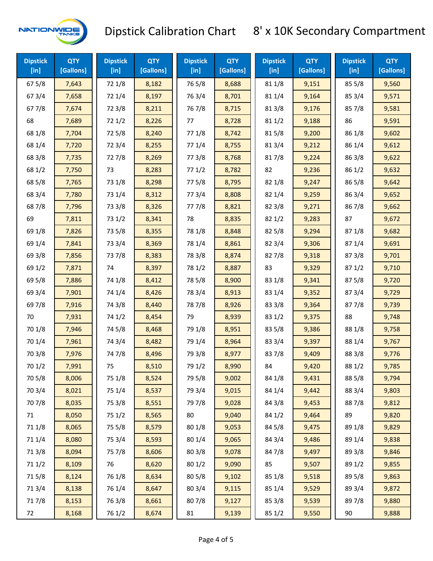

| <b>Dipstick</b><br>$[$ in] | <b>QTY</b><br>[Gallons] | <b>Dipstick</b><br>$[$ in] | <b>QTY</b><br>[Gallons] | <b>Dipstick</b><br>$[$ in] | <b>QTY</b><br>[Gallons] | <b>Dipstick</b><br>$[$ in] | <b>QTY</b><br>[Gallons] | <b>Dipstick</b><br>$[$ in] | <b>QTY</b><br>[Gallons] |
|----------------------------|-------------------------|----------------------------|-------------------------|----------------------------|-------------------------|----------------------------|-------------------------|----------------------------|-------------------------|
| 67 5/8                     | 7,643                   | 72 1/8                     | 8,182                   | 765/8                      | 8,688                   | 81 1/8                     | 9,151                   | 855/8                      | 9,560                   |
| 673/4                      | 7,658                   | 72 1/4                     | 8,197                   | 763/4                      | 8,701                   | 81 1/4                     | 9,164                   | 85 3/4                     | 9,571                   |
| 677/8                      | 7,674                   | 72 3/8                     | 8,211                   | 767/8                      | 8,715                   | 81 3/8                     | 9,176                   | 857/8                      | 9,581                   |
| 68                         | 7,689                   | 72 1/2                     | 8,226                   | 77                         | 8,728                   | 811/2                      | 9,188                   | 86                         | 9,591                   |
| 68 1/8                     | 7,704                   | 725/8                      | 8,240                   | 77 1/8                     | 8,742                   | 815/8                      | 9,200                   | 86 1/8                     | 9,602                   |
| 68 1/4                     | 7,720                   | 72 3/4                     | 8,255                   | 77 1/4                     | 8,755                   | 813/4                      | 9,212                   | 86 1/4                     | 9,612                   |
| 68 3/8                     | 7,735                   | 727/8                      | 8,269                   | 77 3/8                     | 8,768                   | 817/8                      | 9,224                   | 86 3/8                     | 9,622                   |
| 68 1/2                     | 7,750                   | 73                         | 8,283                   | 771/2                      | 8,782                   | 82                         | 9,236                   | 86 1/2                     | 9,632                   |
| 68 5/8                     | 7,765                   | 73 1/8                     | 8,298                   | 775/8                      | 8,795                   | 82 1/8                     | 9,247                   | 86 5/8                     | 9,642                   |
| 68 3/4                     | 7,780                   | 73 1/4                     | 8,312                   | 773/4                      | 8,808                   | 82 1/4                     | 9,259                   | 86 3/4                     | 9,652                   |
| 687/8                      | 7,796                   | 73 3/8                     | 8,326                   | 777/8                      | 8,821                   | 82 3/8                     | 9,271                   | 867/8                      | 9,662                   |
| 69                         | 7,811                   | 73 1/2                     | 8,341                   | 78                         | 8,835                   | 821/2                      | 9,283                   | 87                         | 9,672                   |
| 69 1/8                     | 7,826                   | 73 5/8                     | 8,355                   | 78 1/8                     | 8,848                   | 82 5/8                     | 9,294                   | 871/8                      | 9,682                   |
| 69 1/4                     | 7,841                   | 73 3/4                     | 8,369                   | 78 1/4                     | 8,861                   | 82 3/4                     | 9,306                   | 871/4                      | 9,691                   |
| 69 3/8                     | 7,856                   | 737/8                      | 8,383                   | 78 3/8                     | 8,874                   | 827/8                      | 9,318                   | 87 3/8                     | 9,701                   |
| 69 1/2                     | 7,871                   | 74                         | 8,397                   | 78 1/2                     | 8,887                   | 83                         | 9,329                   | 871/2                      | 9,710                   |
| 69 5/8                     | 7,886                   | 74 1/8                     | 8,412                   | 78 5/8                     | 8,900                   | 83 1/8                     | 9,341                   | 875/8                      | 9,720                   |
| 69 3/4                     | 7,901                   | 74 1/4                     | 8,426                   | 78 3/4                     | 8,913                   | 83 1/4                     | 9,352                   | 87 3/4                     | 9,729                   |
| 697/8                      | 7,916                   | 74 3/8                     | 8,440                   | 787/8                      | 8,926                   | 83 3/8                     | 9,364                   | 877/8                      | 9,739                   |
| 70                         | 7,931                   | 74 1/2                     | 8,454                   | 79                         | 8,939                   | 83 1/2                     | 9,375                   | 88                         | 9,748                   |
| 70 1/8                     | 7,946                   | 74 5/8                     | 8,468                   | 79 1/8                     | 8,951                   | 83 5/8                     | 9,386                   | 88 1/8                     | 9,758                   |
| 70 1/4                     | 7,961                   | 74 3/4                     | 8,482                   | 79 1/4                     | 8,964                   | 83 3/4                     | 9,397                   | 88 1/4                     | 9,767                   |
| 70 3/8                     | 7,976                   | 747/8                      | 8,496                   | 79 3/8                     | 8,977                   | 837/8                      | 9,409                   | 88 3/8                     | 9,776                   |
| 70 1/2                     | 7,991                   | 75                         | 8,510                   | 79 1/2                     | 8,990                   | 84                         | 9,420                   | 88 1/2                     | 9,785                   |
| 70 5/8                     | 8,006                   | 75 1/8                     | 8,524                   | 79 5/8                     | 9,002                   | 84 1/8                     | 9,431                   | 88 5/8                     | 9,794                   |
| 70 3/4                     | 8,021                   | 75 1/4                     | 8,537                   | 79 3/4                     | 9,015                   | 84 1/4                     | 9,442                   | 88 3/4                     | 9,803                   |
| 70 7/8                     | 8,035                   | 75 3/8                     | 8,551                   | 79 7/8                     | 9,028                   | 84 3/8                     | 9,453                   | 887/8                      | 9,812                   |
| 71                         | 8,050                   | 75 1/2                     | 8,565                   | 80                         | 9,040                   | 84 1/2                     | 9,464                   | 89                         | 9,820                   |
| 71 1/8                     | 8,065                   | 75 5/8                     | 8,579                   | 80 1/8                     | 9,053                   | 84 5/8                     | 9,475                   | 89 1/8                     | 9,829                   |
| 71 1/4                     | 8,080                   | 75 3/4                     | 8,593                   | 80 1/4                     | 9,065                   | 84 3/4                     | 9,486                   | 89 1/4                     | 9,838                   |
| 713/8                      | 8,094                   | 75 7/8                     | 8,606                   | 80 3/8                     | 9,078                   | 847/8                      | 9,497                   | 89 3/8                     | 9,846                   |
| 71 1/2                     | 8,109                   | 76                         | 8,620                   | 80 1/2                     | 9,090                   | 85                         | 9,507                   | 89 1/2                     | 9,855                   |
| 715/8                      | 8,124                   | 76 1/8                     | 8,634                   | 80 5/8                     | 9,102                   | 85 1/8                     | 9,518                   | 89 5/8                     | 9,863                   |
| 713/4                      | 8,138                   | 76 1/4                     | 8,647                   | 80 3/4                     | 9,115                   | 85 1/4                     | 9,529                   | 89 3/4                     | 9,872                   |
| 717/8                      | 8,153                   | 763/8                      | 8,661                   | 807/8                      | 9,127                   | 85 3/8                     | 9,539                   | 897/8                      | 9,880                   |
| 72                         | 8,168                   | 76 1/2                     | 8,674                   | 81                         | 9,139                   | 85 1/2                     | 9,550                   | 90                         | 9,888                   |